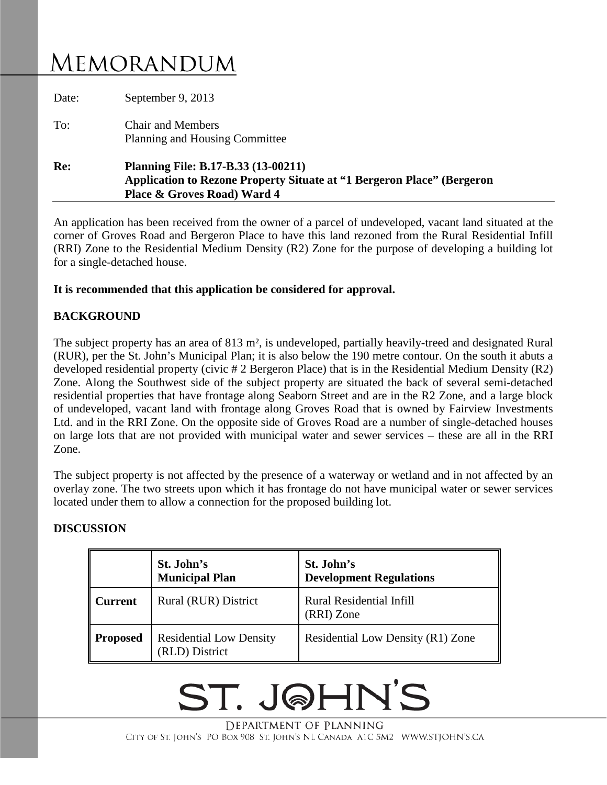# MEMORANDUM

| Re:   | <b>Planning File: B.17-B.33 (13-00211)</b><br><b>Application to Rezone Property Situate at "1 Bergeron Place" (Bergeron</b><br>Place & Groves Road) Ward 4 |
|-------|------------------------------------------------------------------------------------------------------------------------------------------------------------|
| To:   | <b>Chair and Members</b><br>Planning and Housing Committee                                                                                                 |
| Date: | September 9, 2013                                                                                                                                          |

An application has been received from the owner of a parcel of undeveloped, vacant land situated at the corner of Groves Road and Bergeron Place to have this land rezoned from the Rural Residential Infill (RRI) Zone to the Residential Medium Density (R2) Zone for the purpose of developing a building lot for a single-detached house.

### **It is recommended that this application be considered for approval.**

## **BACKGROUND**

The subject property has an area of 813 m<sup>2</sup>, is undeveloped, partially heavily-treed and designated Rural (RUR), per the St. John's Municipal Plan; it is also below the 190 metre contour. On the south it abuts a developed residential property (civic # 2 Bergeron Place) that is in the Residential Medium Density (R2) Zone. Along the Southwest side of the subject property are situated the back of several semi-detached residential properties that have frontage along Seaborn Street and are in the R2 Zone, and a large block of undeveloped, vacant land with frontage along Groves Road that is owned by Fairview Investments Ltd. and in the RRI Zone. On the opposite side of Groves Road are a number of single-detached houses on large lots that are not provided with municipal water and sewer services – these are all in the RRI Zone.

The subject property is not affected by the presence of a waterway or wetland and in not affected by an overlay zone. The two streets upon which it has frontage do not have municipal water or sewer services located under them to allow a connection for the proposed building lot.

#### **DISCUSSION**

|                 | St. John's<br><b>Municipal Plan</b>              | St. John's<br><b>Development Regulations</b>  |
|-----------------|--------------------------------------------------|-----------------------------------------------|
| l Current       | Rural (RUR) District                             | <b>Rural Residential Infill</b><br>(RRI) Zone |
| <b>Proposed</b> | <b>Residential Low Density</b><br>(RLD) District | Residential Low Density (R1) Zone             |

# ST. J@HN'S

DEPARTMENT OF PLANNING CITY OF ST. JOHN'S PO BOX 908 ST. JOHN'S NL CANADA A1C 5M2 WWW.STJOHN'S.CA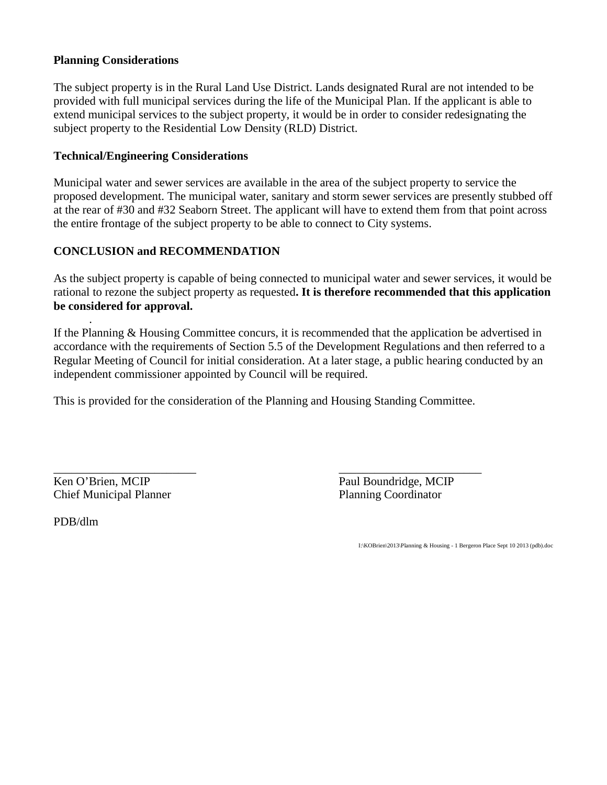### **Planning Considerations**

The subject property is in the Rural Land Use District. Lands designated Rural are not intended to be provided with full municipal services during the life of the Municipal Plan. If the applicant is able to extend municipal services to the subject property, it would be in order to consider redesignating the subject property to the Residential Low Density (RLD) District.

### **Technical/Engineering Considerations**

Municipal water and sewer services are available in the area of the subject property to service the proposed development. The municipal water, sanitary and storm sewer services are presently stubbed off at the rear of #30 and #32 Seaborn Street. The applicant will have to extend them from that point across the entire frontage of the subject property to be able to connect to City systems.

### **CONCLUSION and RECOMMENDATION**

As the subject property is capable of being connected to municipal water and sewer services, it would be rational to rezone the subject property as requested**. It is therefore recommended that this application be considered for approval.**

If the Planning & Housing Committee concurs, it is recommended that the application be advertised in accordance with the requirements of Section 5.5 of the Development Regulations and then referred to a Regular Meeting of Council for initial consideration. At a later stage, a public hearing conducted by an independent commissioner appointed by Council will be required.

This is provided for the consideration of the Planning and Housing Standing Committee.

Chief Municipal Planner Planning Coordinator

\_\_\_\_\_\_\_\_\_\_\_\_\_\_\_\_\_\_\_\_\_\_\_\_ \_\_\_\_\_\_\_\_\_\_\_\_\_\_\_\_\_\_\_\_\_\_\_\_ Ken O'Brien, MCIP Paul Boundridge, MCIP

PDB/dlm

.

I:\KOBrien\2013\Planning & Housing - 1 Bergeron Place Sept 10 2013 (pdb).doc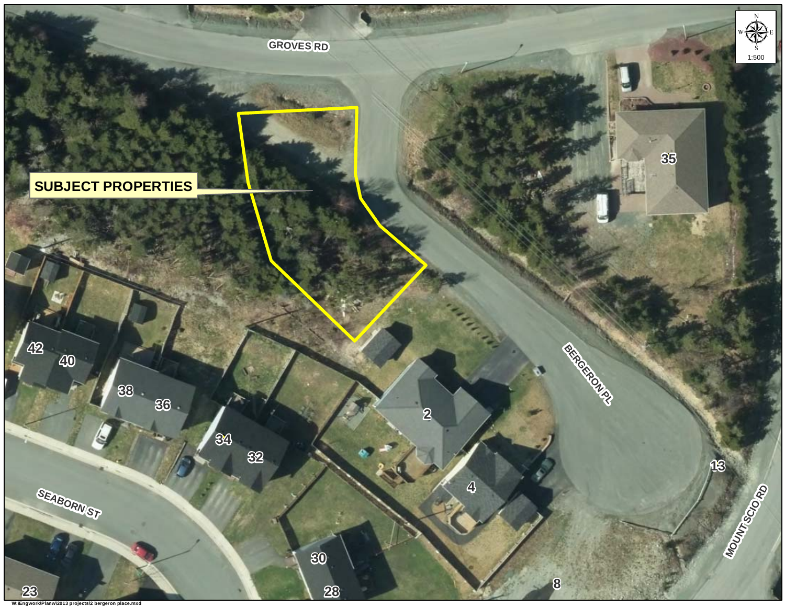